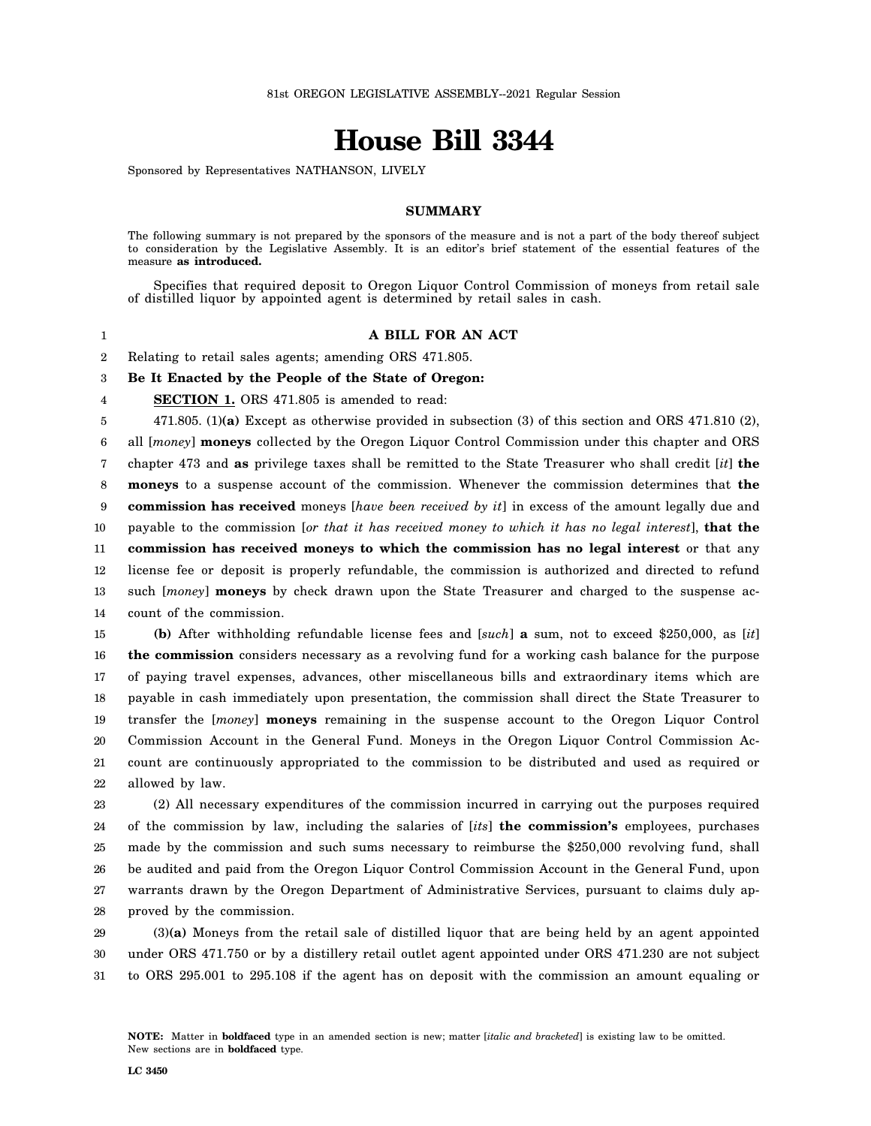# **House Bill 3344**

Sponsored by Representatives NATHANSON, LIVELY

# **SUMMARY**

The following summary is not prepared by the sponsors of the measure and is not a part of the body thereof subject to consideration by the Legislative Assembly. It is an editor's brief statement of the essential features of the measure **as introduced.**

Specifies that required deposit to Oregon Liquor Control Commission of moneys from retail sale of distilled liquor by appointed agent is determined by retail sales in cash.

### **A BILL FOR AN ACT**

2 Relating to retail sales agents; amending ORS 471.805.

1

4

#### 3 **Be It Enacted by the People of the State of Oregon:**

**SECTION 1.** ORS 471.805 is amended to read:

5 6 7 8 9 10 11 12 13 14 471.805. (1)**(a)** Except as otherwise provided in subsection (3) of this section and ORS 471.810 (2), all [*money*] **moneys** collected by the Oregon Liquor Control Commission under this chapter and ORS chapter 473 and **as** privilege taxes shall be remitted to the State Treasurer who shall credit [*it*] **the moneys** to a suspense account of the commission. Whenever the commission determines that **the commission has received** moneys [*have been received by it*] in excess of the amount legally due and payable to the commission [*or that it has received money to which it has no legal interest*], **that the commission has received moneys to which the commission has no legal interest** or that any license fee or deposit is properly refundable, the commission is authorized and directed to refund such [*money*] **moneys** by check drawn upon the State Treasurer and charged to the suspense account of the commission.

15 16 17 18 19 20 21 22 **(b)** After withholding refundable license fees and [*such*] **a** sum, not to exceed \$250,000, as [*it*] **the commission** considers necessary as a revolving fund for a working cash balance for the purpose of paying travel expenses, advances, other miscellaneous bills and extraordinary items which are payable in cash immediately upon presentation, the commission shall direct the State Treasurer to transfer the [*money*] **moneys** remaining in the suspense account to the Oregon Liquor Control Commission Account in the General Fund. Moneys in the Oregon Liquor Control Commission Account are continuously appropriated to the commission to be distributed and used as required or allowed by law.

23 24 25 26 27 28 (2) All necessary expenditures of the commission incurred in carrying out the purposes required of the commission by law, including the salaries of [*its*] **the commission's** employees, purchases made by the commission and such sums necessary to reimburse the \$250,000 revolving fund, shall be audited and paid from the Oregon Liquor Control Commission Account in the General Fund, upon warrants drawn by the Oregon Department of Administrative Services, pursuant to claims duly approved by the commission.

29 30 31 (3)**(a)** Moneys from the retail sale of distilled liquor that are being held by an agent appointed under ORS 471.750 or by a distillery retail outlet agent appointed under ORS 471.230 are not subject to ORS 295.001 to 295.108 if the agent has on deposit with the commission an amount equaling or